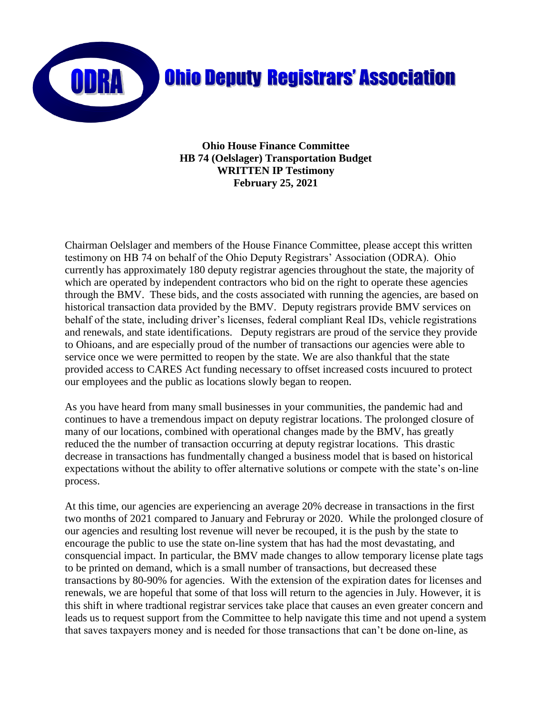

**Ohio House Finance Committee HB 74 (Oelslager) Transportation Budget WRITTEN IP Testimony February 25, 2021**

Chairman Oelslager and members of the House Finance Committee, please accept this written testimony on HB 74 on behalf of the Ohio Deputy Registrars' Association (ODRA). Ohio currently has approximately 180 deputy registrar agencies throughout the state, the majority of which are operated by independent contractors who bid on the right to operate these agencies through the BMV. These bids, and the costs associated with running the agencies, are based on historical transaction data provided by the BMV. Deputy registrars provide BMV services on behalf of the state, including driver's licenses, federal compliant Real IDs, vehicle registrations and renewals, and state identifications. Deputy registrars are proud of the service they provide to Ohioans, and are especially proud of the number of transactions our agencies were able to service once we were permitted to reopen by the state. We are also thankful that the state provided access to CARES Act funding necessary to offset increased costs incuured to protect our employees and the public as locations slowly began to reopen.

As you have heard from many small businesses in your communities, the pandemic had and continues to have a tremendous impact on deputy registrar locations. The prolonged closure of many of our locations, combined with operational changes made by the BMV, has greatly reduced the the number of transaction occurring at deputy registrar locations. This drastic decrease in transactions has fundmentally changed a business model that is based on historical expectations without the ability to offer alternative solutions or compete with the state's on-line process.

At this time, our agencies are experiencing an average 20% decrease in transactions in the first two months of 2021 compared to January and Februray or 2020. While the prolonged closure of our agencies and resulting lost revenue will never be recouped, it is the push by the state to encourage the public to use the state on-line system that has had the most devastating, and consquencial impact. In particular, the BMV made changes to allow temporary license plate tags to be printed on demand, which is a small number of transactions, but decreased these transactions by 80-90% for agencies. With the extension of the expiration dates for licenses and renewals, we are hopeful that some of that loss will return to the agencies in July. However, it is this shift in where tradtional registrar services take place that causes an even greater concern and leads us to request support from the Committee to help navigate this time and not upend a system that saves taxpayers money and is needed for those transactions that can't be done on-line, as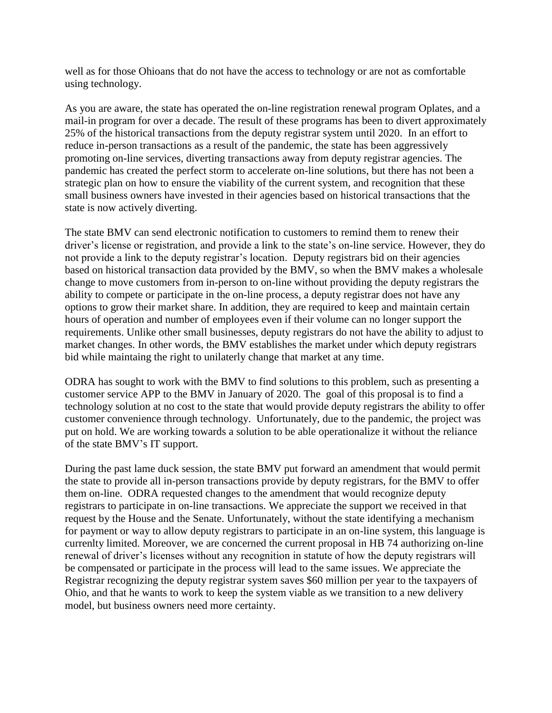well as for those Ohioans that do not have the access to technology or are not as comfortable using technology.

As you are aware, the state has operated the on-line registration renewal program Oplates, and a mail-in program for over a decade. The result of these programs has been to divert approximately 25% of the historical transactions from the deputy registrar system until 2020. In an effort to reduce in-person transactions as a result of the pandemic, the state has been aggressively promoting on-line services, diverting transactions away from deputy registrar agencies. The pandemic has created the perfect storm to accelerate on-line solutions, but there has not been a strategic plan on how to ensure the viability of the current system, and recognition that these small business owners have invested in their agencies based on historical transactions that the state is now actively diverting.

The state BMV can send electronic notification to customers to remind them to renew their driver's license or registration, and provide a link to the state's on-line service. However, they do not provide a link to the deputy registrar's location. Deputy registrars bid on their agencies based on historical transaction data provided by the BMV, so when the BMV makes a wholesale change to move customers from in-person to on-line without providing the deputy registrars the ability to compete or participate in the on-line process, a deputy registrar does not have any options to grow their market share. In addition, they are required to keep and maintain certain hours of operation and number of employees even if their volume can no longer support the requirements. Unlike other small businesses, deputy registrars do not have the ability to adjust to market changes. In other words, the BMV establishes the market under which deputy registrars bid while maintaing the right to unilaterly change that market at any time.

ODRA has sought to work with the BMV to find solutions to this problem, such as presenting a customer service APP to the BMV in January of 2020. The goal of this proposal is to find a technology solution at no cost to the state that would provide deputy registrars the ability to offer customer convenience through technology. Unfortunately, due to the pandemic, the project was put on hold. We are working towards a solution to be able operationalize it without the reliance of the state BMV's IT support.

During the past lame duck session, the state BMV put forward an amendment that would permit the state to provide all in-person transactions provide by deputy registrars, for the BMV to offer them on-line. ODRA requested changes to the amendment that would recognize deputy registrars to participate in on-line transactions. We appreciate the support we received in that request by the House and the Senate. Unfortunately, without the state identifying a mechanism for payment or way to allow deputy registrars to participate in an on-line system, this language is currenlty limited. Moreover, we are concerned the current proposal in HB 74 authorizing on-line renewal of driver's licenses without any recognition in statute of how the deputy registrars will be compensated or participate in the process will lead to the same issues. We appreciate the Registrar recognizing the deputy registrar system saves \$60 million per year to the taxpayers of Ohio, and that he wants to work to keep the system viable as we transition to a new delivery model, but business owners need more certainty.